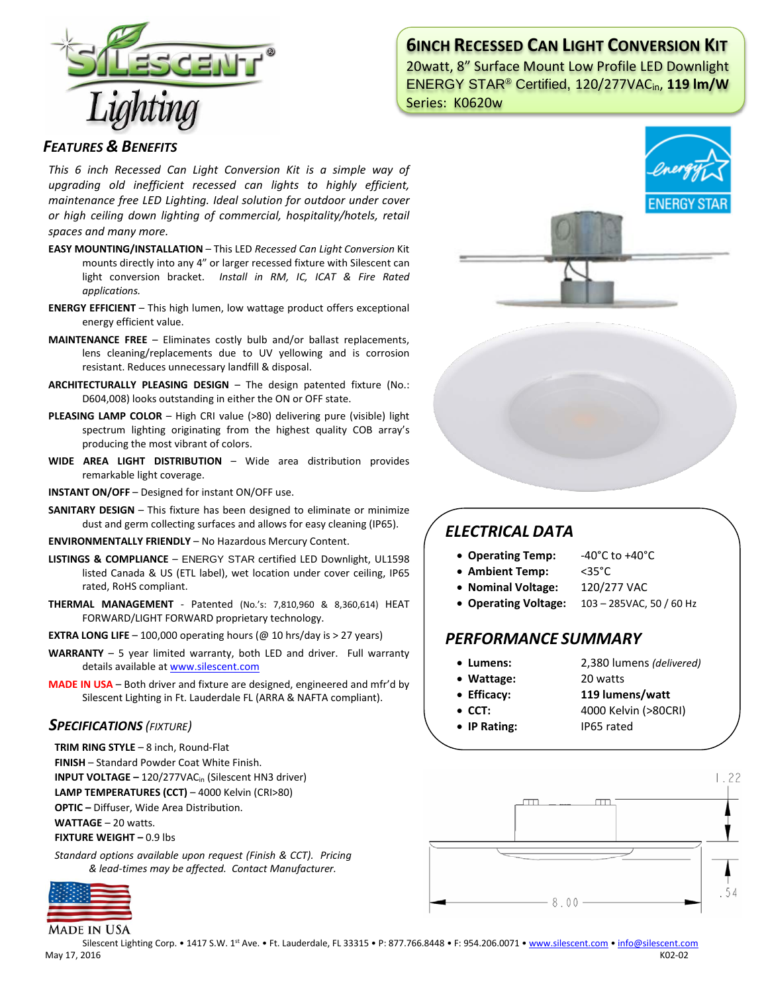

## **6INCH RECESSED CAN LIGHT CONVERSION KIT**

20watt, 8" Surface Mount Low Profile LED Downlight ENERGY STAR® Certified, 120/277VACin, **119 lm/W** Series: K0620w

### *FEATURES & BENEFITS*

*This 6 inch Recessed Can Light Conversion Kit is a simple way of upgrading old inefficient recessed can lights to highly efficient, maintenance free LED Lighting. Ideal solution for outdoor under cover or high ceiling down lighting of commercial, hospitality/hotels, retail spaces and many more.*

- **EASY MOUNTING/INSTALLATION**  This LED *Recessed Can Light Conversion* Kit mounts directly into any 4" or larger recessed fixture with Silescent can light conversion bracket. *Install in RM, IC, ICAT & Fire Rated applications.*
- **ENERGY EFFICIENT**  This high lumen, low wattage product offers exceptional energy efficient value.
- **MAINTENANCE FREE** Eliminates costly bulb and/or ballast replacements, lens cleaning/replacements due to UV yellowing and is corrosion resistant. Reduces unnecessary landfill & disposal.
- **ARCHITECTURALLY PLEASING DESIGN** The design patented fixture (No.: D604,008) looks outstanding in either the ON or OFF state.
- **PLEASING LAMP COLOR**  High CRI value (>80) delivering pure (visible) light spectrum lighting originating from the highest quality COB array's producing the most vibrant of colors.
- **WIDE AREA LIGHT DISTRIBUTION**  Wide area distribution provides remarkable light coverage.
- **INSTANT ON/OFF**  Designed for instant ON/OFF use.
- **SANITARY DESIGN** This fixture has been designed to eliminate or minimize dust and germ collecting surfaces and allows for easy cleaning (IP65).
- **ENVIRONMENTALLY FRIENDLY**  No Hazardous Mercury Content.
- **LISTINGS & COMPLIANCE** ENERGY STAR certified LED Downlight, UL1598 listed Canada & US (ETL label), wet location under cover ceiling, IP65 rated, RoHS compliant.
- **THERMAL MANAGEMENT**  Patented (No.'s: 7,810,960 & 8,360,614) HEAT FORWARD/LIGHT FORWARD proprietary technology.
- **EXTRA LONG LIFE**  $-$  100,000 operating hours ( $@$  10 hrs/day is  $>$  27 years)
- **WARRANTY** 5 year limited warranty, both LED and driver. Full warranty details available a[t www.silescent.com](http://www.silescent.com/)
- **MADE IN USA** Both driver and fixture are designed, engineered and mfr'd by Silescent Lighting in Ft. Lauderdale FL (ARRA & NAFTA compliant).

### *SPECIFICATIONS (FIXTURE)*

- **TRIM RING STYLE** 8 inch, Round-Flat
- **FINISH** Standard Powder Coat White Finish.
- **INPUT VOLTAGE –** 120/277VACin (Silescent HN3 driver)

**LAMP TEMPERATURES (CCT)** – 4000 Kelvin (CRI>80)

**OPTIC –** Diffuser, Wide Area Distribution.

**WATTAGE** – 20 watts.

**FIXTURE WEIGHT –** 0.9 lbs

*Standard options available upon request (Finish & CCT). Pricing & lead-times may be affected. Contact Manufacturer.*



**MADE IN USA** 



# *ELECTRICAL DATA*

- **Operating Temp:** -40°C to +40°C
- **Ambient Temp:** <35°C
- **Nominal Voltage:** 120/277 VAC
- **Operating Voltage:** 103 285VAC, 50 / 60 Hz

### *PERFORMANCE SUMMARY*

- **Lumens:** 2,380 lumens *(delivered)*
- **Wattage:** 20 watts
- 
- **Efficacy: 119 lumens/watt**
- **CCT:** 4000 Kelvin (>80CRI)
- **IP Rating:** IP65 rated



Silescent Lighting Corp. • 1417 S.W. 1st Ave. • Ft. Lauderdale, FL 33315 • P: 877.766.8448 • F: 954.206.0071 • [www.silescent.com](http://www.silescent.com/) • [info@silescent.com](mailto:info@silescent.com) May 17, 2016 K02-02